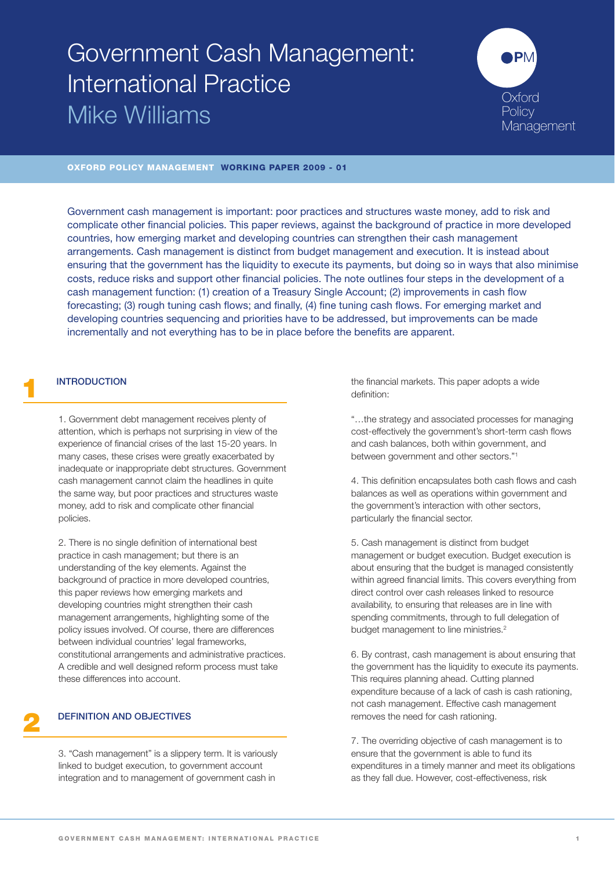# Government Cash Management: International Practice Mike Williams



## **OXFORD POLICY MANAGEMENT WORKING PAPER 2009 - 01**

Government cash management is important: poor practices and structures waste money, add to risk and complicate other financial policies. This paper reviews, against the background of practice in more developed countries, how emerging market and developing countries can strengthen their cash management arrangements. Cash management is distinct from budget management and execution. It is instead about ensuring that the government has the liquidity to execute its payments, but doing so in ways that also minimise costs, reduce risks and support other financial policies. The note outlines four steps in the development of a cash management function: (1) creation of a Treasury Single Account; (2) improvements in cash flow forecasting; (3) rough tuning cash flows; and finally, (4) fine tuning cash flows. For emerging market and developing countries sequencing and priorities have to be addressed, but improvements can be made incrementally and not everything has to be in place before the benefits are apparent.

#### **1 INTRODUCTION**

1. Government debt management receives plenty of attention, which is perhaps not surprising in view of the experience of financial crises of the last 15-20 years. In many cases, these crises were greatly exacerbated by inadequate or inappropriate debt structures. Government cash management cannot claim the headlines in quite the same way, but poor practices and structures waste money, add to risk and complicate other financial policies.

2. There is no single definition of international best practice in cash management; but there is an understanding of the key elements. Against the background of practice in more developed countries, this paper reviews how emerging markets and developing countries might strengthen their cash management arrangements, highlighting some of the policy issues involved. Of course, there are differences between individual countries' legal frameworks, constitutional arrangements and administrative practices. A credible and well designed reform process must take these differences into account.

# **2 DEFINITION AND OBJECTIVES**

3. "Cash management" is a slippery term. It is variously linked to budget execution, to government account integration and to management of government cash in

the financial markets. This paper adopts a wide definition:

"…the strategy and associated processes for managing cost-effectively the government's short-term cash flows and cash balances, both within government, and between government and other sectors."1

4. This definition encapsulates both cash flows and cash balances as well as operations within government and the government's interaction with other sectors, particularly the financial sector.

5. Cash management is distinct from budget management or budget execution. Budget execution is about ensuring that the budget is managed consistently within agreed financial limits. This covers everything from direct control over cash releases linked to resource availability, to ensuring that releases are in line with spending commitments, through to full delegation of budget management to line ministries.<sup>2</sup>

6. By contrast, cash management is about ensuring that the government has the liquidity to execute its payments. This requires planning ahead. Cutting planned expenditure because of a lack of cash is cash rationing, not cash management. Effective cash management removes the need for cash rationing.

7. The overriding objective of cash management is to ensure that the government is able to fund its expenditures in a timely manner and meet its obligations as they fall due. However, cost-effectiveness, risk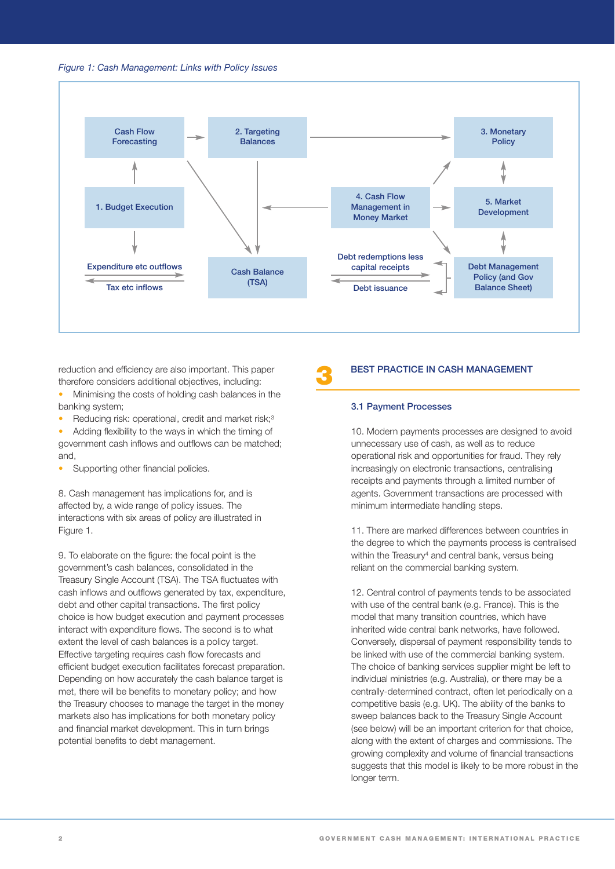



reduction and efficiency are also important. This paper therefore considers additional objectives, including:

- Minimising the costs of holding cash balances in the banking system;
- Reducing risk: operational, credit and market risk;<sup>3</sup>

• Adding flexibility to the ways in which the timing of government cash inflows and outflows can be matched; and,

Supporting other financial policies.

8. Cash management has implications for, and is affected by, a wide range of policy issues. The interactions with six areas of policy are illustrated in Figure 1.

9. To elaborate on the figure: the focal point is the government's cash balances, consolidated in the Treasury Single Account (TSA). The TSA fluctuates with cash inflows and outflows generated by tax, expenditure, debt and other capital transactions. The first policy choice is how budget execution and payment processes interact with expenditure flows. The second is to what extent the level of cash balances is a policy target. Effective targeting requires cash flow forecasts and efficient budget execution facilitates forecast preparation. Depending on how accurately the cash balance target is met, there will be benefits to monetary policy; and how the Treasury chooses to manage the target in the money markets also has implications for both monetary policy and financial market development. This in turn brings potential benefits to debt management.

#### **3 BEST PRACTICE IN CASH MANAGEMENT**

#### **3.1 Payment Processes**

10. Modern payments processes are designed to avoid unnecessary use of cash, as well as to reduce operational risk and opportunities for fraud. They rely increasingly on electronic transactions, centralising receipts and payments through a limited number of agents. Government transactions are processed with minimum intermediate handling steps.

11. There are marked differences between countries in the degree to which the payments process is centralised within the Treasury4 and central bank, versus being reliant on the commercial banking system.

12. Central control of payments tends to be associated with use of the central bank (e.g. France). This is the model that many transition countries, which have inherited wide central bank networks, have followed. Conversely, dispersal of payment responsibility tends to be linked with use of the commercial banking system. The choice of banking services supplier might be left to individual ministries (e.g. Australia), or there may be a centrally-determined contract, often let periodically on a competitive basis (e.g. UK). The ability of the banks to sweep balances back to the Treasury Single Account (see below) will be an important criterion for that choice, along with the extent of charges and commissions. The growing complexity and volume of financial transactions suggests that this model is likely to be more robust in the longer term.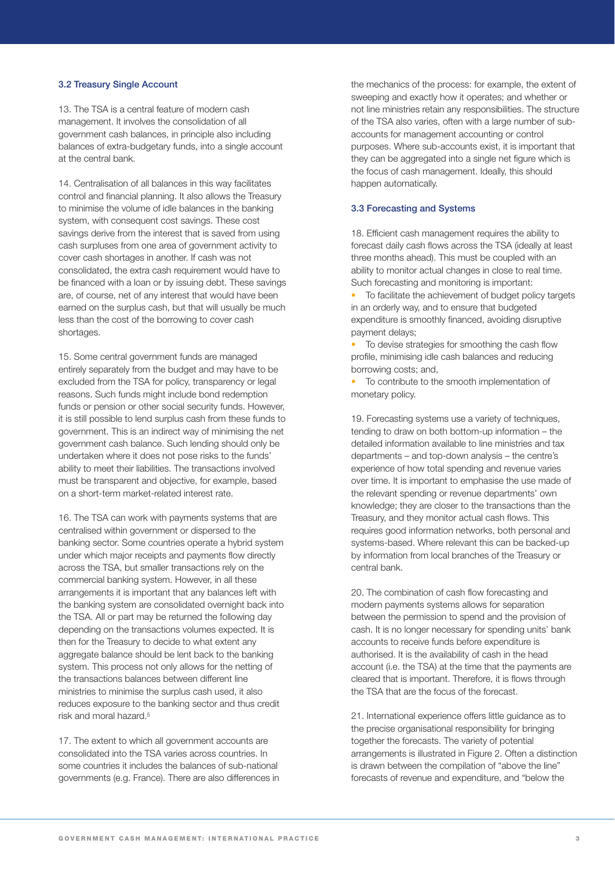#### **3.2 Treasury Single Account**

13. The TSA is a central feature of modern cash management. It involves the consolidation of all government cash balances, in principle also including balances of extra-budgetary funds, into a single account at the central bank.

14. Centralisation of all balances in this way facilitates control and financial planning. It also allows the Treasury to minimise the volume of idle balances in the banking system, with consequent cost savings. These cost savings derive from the interest that is saved from using cash surpluses from one area of government activity to cover cash shortages in another. If cash was not consolidated, the extra cash requirement would have to be financed with a loan or by issuing debt. These savings are, of course, net of any interest that would have been earned on the surplus cash, but that will usually be much less than the cost of the borrowing to cover cash shortages.

15. Some central government funds are managed entirely separately from the budget and may have to be excluded from the TSA for policy, transparency or legal reasons. Such funds might include bond redemption funds or pension or other social security funds. However, it is still possible to lend surplus cash from these funds to government. This is an indirect way of minimising the net government cash balance. Such lending should only be undertaken where it does not pose risks to the funds' ability to meet their liabilities. The transactions involved must be transparent and objective, for example, based on a short-term market-related interest rate.

16. The TSA can work with payments systems that are centralised within government or dispersed to the banking sector. Some countries operate a hybrid system under which major receipts and payments flow directly across the TSA, but smaller transactions rely on the commercial banking system. However, in all these arrangements it is important that any balances left with the banking system are consolidated overnight back into the TSA. All or part may be returned the following day depending on the transactions volumes expected. It is then for the Treasury to decide to what extent any aggregate balance should be lent back to the banking system. This process not only allows for the netting of the transactions balances between different line ministries to minimise the surplus cash used, it also reduces exposure to the banking sector and thus credit risk and moral hazard.5

17. The extent to which all government accounts are consolidated into the TSA varies across countries. In some countries it includes the balances of sub-national governments (e.g. France). There are also differences in

the mechanics of the process: for example, the extent of sweeping and exactly how it operates; and whether or not line ministries retain any responsibilities. The structure of the TSA also varies, often with a large number of subaccounts for management accounting or control purposes. Where sub-accounts exist, it is important that they can be aggregated into a single net figure which is the focus of cash management. Ideally, this should happen automatically.

#### **3.3 Forecasting and Systems**

18. Efficient cash management requires the ability to forecast daily cash flows across the TSA (ideally at least three months ahead). This must be coupled with an ability to monitor actual changes in close to real time. Such forecasting and monitoring is important:

To facilitate the achievement of budget policy targets in an orderly way, and to ensure that budgeted expenditure is smoothly financed, avoiding disruptive payment delays;

• To devise strategies for smoothing the cash flow profile, minimising idle cash balances and reducing borrowing costs; and,

• To contribute to the smooth implementation of monetary policy.

19. Forecasting systems use a variety of techniques, tending to draw on both bottom-up information – the detailed information available to line ministries and tax departments – and top-down analysis – the centre's experience of how total spending and revenue varies over time. It is important to emphasise the use made of the relevant spending or revenue departments' own knowledge; they are closer to the transactions than the Treasury, and they monitor actual cash flows. This requires good information networks, both personal and systems-based. Where relevant this can be backed-up by information from local branches of the Treasury or central bank.

20. The combination of cash flow forecasting and modern payments systems allows for separation between the permission to spend and the provision of cash. It is no longer necessary for spending units' bank accounts to receive funds before expenditure is authorised. It is the availability of cash in the head account (i.e. the TSA) at the time that the payments are cleared that is important. Therefore, it is flows through the TSA that are the focus of the forecast.

21. International experience offers little guidance as to the precise organisational responsibility for bringing together the forecasts. The variety of potential arrangements is illustrated in Figure 2. Often a distinction is drawn between the compilation of "above the line" forecasts of revenue and expenditure, and "below the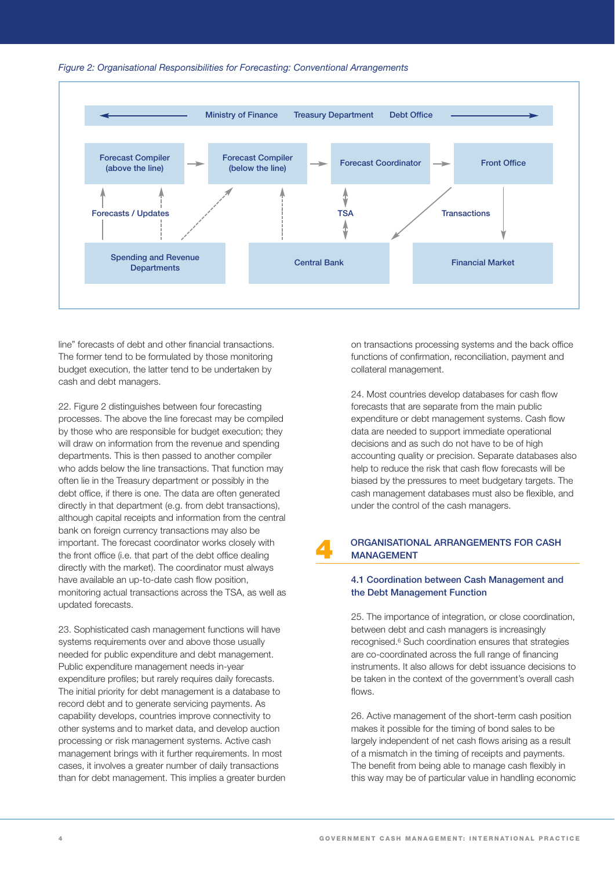



line" forecasts of debt and other financial transactions. The former tend to be formulated by those monitoring budget execution, the latter tend to be undertaken by cash and debt managers.

22. Figure 2 distinguishes between four forecasting processes. The above the line forecast may be compiled by those who are responsible for budget execution; they will draw on information from the revenue and spending departments. This is then passed to another compiler who adds below the line transactions. That function may often lie in the Treasury department or possibly in the debt office, if there is one. The data are often generated directly in that department (e.g. from debt transactions), although capital receipts and information from the central bank on foreign currency transactions may also be important. The forecast coordinator works closely with the front office (i.e. that part of the debt office dealing directly with the market). The coordinator must always have available an up-to-date cash flow position, monitoring actual transactions across the TSA, as well as updated forecasts.

23. Sophisticated cash management functions will have systems requirements over and above those usually needed for public expenditure and debt management. Public expenditure management needs in-year expenditure profiles; but rarely requires daily forecasts. The initial priority for debt management is a database to record debt and to generate servicing payments. As capability develops, countries improve connectivity to other systems and to market data, and develop auction processing or risk management systems. Active cash management brings with it further requirements. In most cases, it involves a greater number of daily transactions than for debt management. This implies a greater burden on transactions processing systems and the back office functions of confirmation, reconciliation, payment and collateral management.

24. Most countries develop databases for cash flow forecasts that are separate from the main public expenditure or debt management systems. Cash flow data are needed to support immediate operational decisions and as such do not have to be of high accounting quality or precision. Separate databases also help to reduce the risk that cash flow forecasts will be biased by the pressures to meet budgetary targets. The cash management databases must also be flexible, and under the control of the cash managers.

# **4 ORGANISATIONAL ARRANGEMENTS FOR CASH MANAGEMENT**

#### **4.1 Coordination between Cash Management and the Debt Management Function**

25. The importance of integration, or close coordination, between debt and cash managers is increasingly recognised.6 Such coordination ensures that strategies are co-coordinated across the full range of financing instruments. It also allows for debt issuance decisions to be taken in the context of the government's overall cash flows.

26. Active management of the short-term cash position makes it possible for the timing of bond sales to be largely independent of net cash flows arising as a result of a mismatch in the timing of receipts and payments. The benefit from being able to manage cash flexibly in this way may be of particular value in handling economic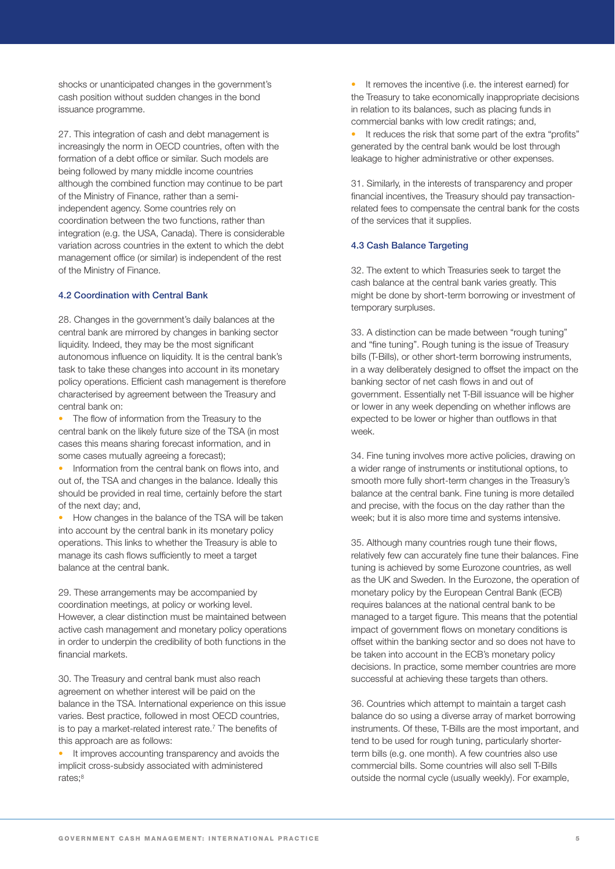shocks or unanticipated changes in the government's cash position without sudden changes in the bond issuance programme.

27. This integration of cash and debt management is increasingly the norm in OECD countries, often with the formation of a debt office or similar. Such models are being followed by many middle income countries although the combined function may continue to be part of the Ministry of Finance, rather than a semiindependent agency. Some countries rely on coordination between the two functions, rather than integration (e.g. the USA, Canada). There is considerable variation across countries in the extent to which the debt management office (or similar) is independent of the rest of the Ministry of Finance.

#### **4.2 Coordination with Central Bank**

28. Changes in the government's daily balances at the central bank are mirrored by changes in banking sector liquidity. Indeed, they may be the most significant autonomous influence on liquidity. It is the central bank's task to take these changes into account in its monetary policy operations. Efficient cash management is therefore characterised by agreement between the Treasury and central bank on:

• The flow of information from the Treasury to the central bank on the likely future size of the TSA (in most cases this means sharing forecast information, and in some cases mutually agreeing a forecast);

• Information from the central bank on flows into, and out of, the TSA and changes in the balance. Ideally this should be provided in real time, certainly before the start of the next day; and,

• How changes in the balance of the TSA will be taken into account by the central bank in its monetary policy operations. This links to whether the Treasury is able to manage its cash flows sufficiently to meet a target balance at the central bank.

29. These arrangements may be accompanied by coordination meetings, at policy or working level. However, a clear distinction must be maintained between active cash management and monetary policy operations in order to underpin the credibility of both functions in the financial markets.

30. The Treasury and central bank must also reach agreement on whether interest will be paid on the balance in the TSA. International experience on this issue varies. Best practice, followed in most OECD countries, is to pay a market-related interest rate.7 The benefits of this approach are as follows:

• It improves accounting transparency and avoids the implicit cross-subsidy associated with administered rates;8

• It removes the incentive (i.e. the interest earned) for the Treasury to take economically inappropriate decisions in relation to its balances, such as placing funds in commercial banks with low credit ratings; and,

• It reduces the risk that some part of the extra "profits" generated by the central bank would be lost through leakage to higher administrative or other expenses.

31. Similarly, in the interests of transparency and proper financial incentives, the Treasury should pay transactionrelated fees to compensate the central bank for the costs of the services that it supplies.

#### **4.3 Cash Balance Targeting**

32. The extent to which Treasuries seek to target the cash balance at the central bank varies greatly. This might be done by short-term borrowing or investment of temporary surpluses.

33. A distinction can be made between "rough tuning" and "fine tuning". Rough tuning is the issue of Treasury bills (T-Bills), or other short-term borrowing instruments, in a way deliberately designed to offset the impact on the banking sector of net cash flows in and out of government. Essentially net T-Bill issuance will be higher or lower in any week depending on whether inflows are expected to be lower or higher than outflows in that week.

34. Fine tuning involves more active policies, drawing on a wider range of instruments or institutional options, to smooth more fully short-term changes in the Treasury's balance at the central bank. Fine tuning is more detailed and precise, with the focus on the day rather than the week; but it is also more time and systems intensive.

35. Although many countries rough tune their flows, relatively few can accurately fine tune their balances. Fine tuning is achieved by some Eurozone countries, as well as the UK and Sweden. In the Eurozone, the operation of monetary policy by the European Central Bank (ECB) requires balances at the national central bank to be managed to a target figure. This means that the potential impact of government flows on monetary conditions is offset within the banking sector and so does not have to be taken into account in the ECB's monetary policy decisions. In practice, some member countries are more successful at achieving these targets than others.

36. Countries which attempt to maintain a target cash balance do so using a diverse array of market borrowing instruments. Of these, T-Bills are the most important, and tend to be used for rough tuning, particularly shorterterm bills (e.g. one month). A few countries also use commercial bills. Some countries will also sell T-Bills outside the normal cycle (usually weekly). For example,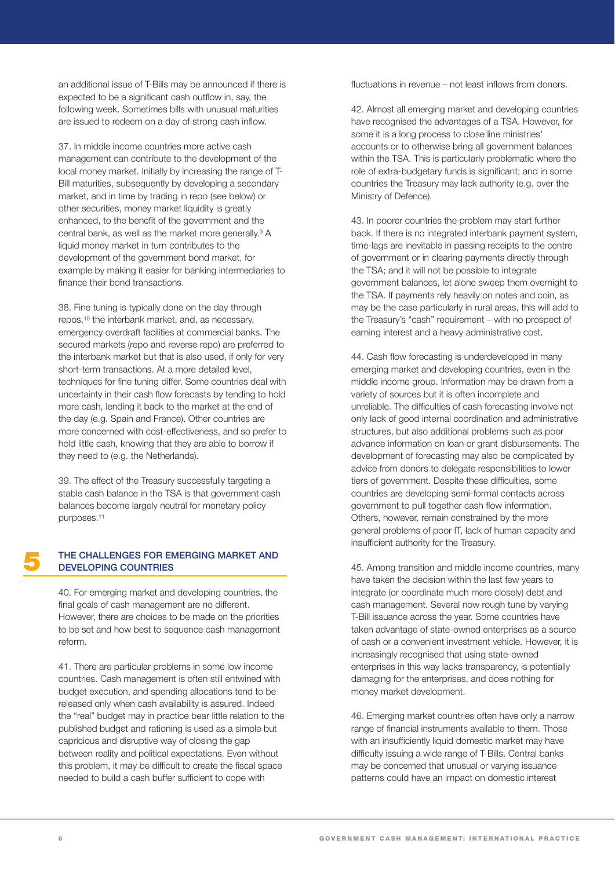an additional issue of T-Bills may be announced if there is expected to be a significant cash outflow in, say, the following week. Sometimes bills with unusual maturities are issued to redeem on a day of strong cash inflow.

37. In middle income countries more active cash management can contribute to the development of the local money market. Initially by increasing the range of T-Bill maturities, subsequently by developing a secondary market, and in time by trading in repo (see below) or other securities, money market liquidity is greatly enhanced, to the benefit of the government and the central bank, as well as the market more generally.9 A liquid money market in turn contributes to the development of the government bond market, for example by making it easier for banking intermediaries to finance their bond transactions.

38. Fine tuning is typically done on the day through repos,10 the interbank market, and, as necessary, emergency overdraft facilities at commercial banks. The secured markets (repo and reverse repo) are preferred to the interbank market but that is also used, if only for very short-term transactions. At a more detailed level, techniques for fine tuning differ. Some countries deal with uncertainty in their cash flow forecasts by tending to hold more cash, lending it back to the market at the end of the day (e.g. Spain and France). Other countries are more concerned with cost-effectiveness, and so prefer to hold little cash, knowing that they are able to borrow if they need to (e.g. the Netherlands).

39. The effect of the Treasury successfully targeting a stable cash balance in the TSA is that government cash balances become largely neutral for monetary policy purposes.11

## **5 THE CHALLENGES FOR EMERGING MARKET AND DEVELOPING COUNTRIES**

40. For emerging market and developing countries, the final goals of cash management are no different. However, there are choices to be made on the priorities to be set and how best to sequence cash management reform.

41. There are particular problems in some low income countries. Cash management is often still entwined with budget execution, and spending allocations tend to be released only when cash availability is assured. Indeed the "real" budget may in practice bear little relation to the published budget and rationing is used as a simple but capricious and disruptive way of closing the gap between reality and political expectations. Even without this problem, it may be difficult to create the fiscal space needed to build a cash buffer sufficient to cope with

fluctuations in revenue – not least inflows from donors.

42. Almost all emerging market and developing countries have recognised the advantages of a TSA. However, for some it is a long process to close line ministries' accounts or to otherwise bring all government balances within the TSA. This is particularly problematic where the role of extra-budgetary funds is significant; and in some countries the Treasury may lack authority (e.g. over the Ministry of Defence).

43. In poorer countries the problem may start further back. If there is no integrated interbank payment system, time-lags are inevitable in passing receipts to the centre of government or in clearing payments directly through the TSA; and it will not be possible to integrate government balances, let alone sweep them overnight to the TSA. If payments rely heavily on notes and coin, as may be the case particularly in rural areas, this will add to the Treasury's "cash" requirement – with no prospect of earning interest and a heavy administrative cost.

44. Cash flow forecasting is underdeveloped in many emerging market and developing countries, even in the middle income group. Information may be drawn from a variety of sources but it is often incomplete and unreliable. The difficulties of cash forecasting involve not only lack of good internal coordination and administrative structures, but also additional problems such as poor advance information on loan or grant disbursements. The development of forecasting may also be complicated by advice from donors to delegate responsibilities to lower tiers of government. Despite these difficulties, some countries are developing semi-formal contacts across government to pull together cash flow information. Others, however, remain constrained by the more general problems of poor IT, lack of human capacity and insufficient authority for the Treasury.

45. Among transition and middle income countries, many have taken the decision within the last few years to integrate (or coordinate much more closely) debt and cash management. Several now rough tune by varying T-Bill issuance across the year. Some countries have taken advantage of state-owned enterprises as a source of cash or a convenient investment vehicle. However, it is increasingly recognised that using state-owned enterprises in this way lacks transparency, is potentially damaging for the enterprises, and does nothing for money market development.

46. Emerging market countries often have only a narrow range of financial instruments available to them. Those with an insufficiently liquid domestic market may have difficulty issuing a wide range of T-Bills. Central banks may be concerned that unusual or varying issuance patterns could have an impact on domestic interest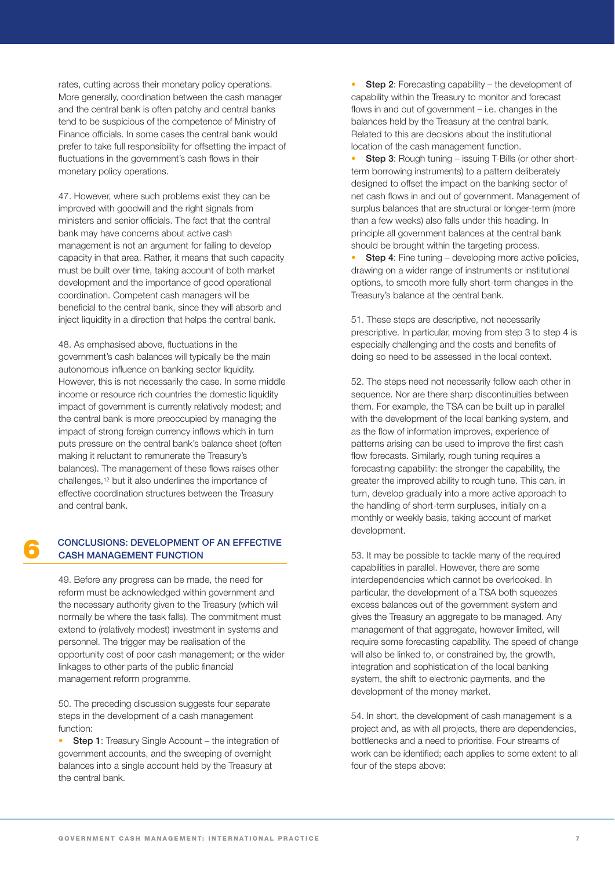rates, cutting across their monetary policy operations. More generally, coordination between the cash manager and the central bank is often patchy and central banks tend to be suspicious of the competence of Ministry of Finance officials. In some cases the central bank would prefer to take full responsibility for offsetting the impact of fluctuations in the government's cash flows in their monetary policy operations.

47. However, where such problems exist they can be improved with goodwill and the right signals from ministers and senior officials. The fact that the central bank may have concerns about active cash management is not an argument for failing to develop capacity in that area. Rather, it means that such capacity must be built over time, taking account of both market development and the importance of good operational coordination. Competent cash managers will be beneficial to the central bank, since they will absorb and inject liquidity in a direction that helps the central bank.

48. As emphasised above, fluctuations in the government's cash balances will typically be the main autonomous influence on banking sector liquidity. However, this is not necessarily the case. In some middle income or resource rich countries the domestic liquidity impact of government is currently relatively modest; and the central bank is more preoccupied by managing the impact of strong foreign currency inflows which in turn puts pressure on the central bank's balance sheet (often making it reluctant to remunerate the Treasury's balances). The management of these flows raises other challenges,12 but it also underlines the importance of effective coordination structures between the Treasury and central bank.

# **6 CONCLUSIONS: DEVELOPMENT OF AN EFFECTIVE CASH MANAGEMENT FUNCTION**

49. Before any progress can be made, the need for reform must be acknowledged within government and the necessary authority given to the Treasury (which will normally be where the task falls). The commitment must extend to (relatively modest) investment in systems and personnel. The trigger may be realisation of the opportunity cost of poor cash management; or the wider linkages to other parts of the public financial management reform programme.

50. The preceding discussion suggests four separate steps in the development of a cash management function:

**Step 1**: Treasury Single Account – the integration of government accounts, and the sweeping of overnight balances into a single account held by the Treasury at the central bank.

**Step 2**: Forecasting capability – the development of capability within the Treasury to monitor and forecast flows in and out of government – i.e. changes in the balances held by the Treasury at the central bank. Related to this are decisions about the institutional location of the cash management function.

• **Step 3**: Rough tuning – issuing T-Bills (or other shortterm borrowing instruments) to a pattern deliberately designed to offset the impact on the banking sector of net cash flows in and out of government. Management of surplus balances that are structural or longer-term (more than a few weeks) also falls under this heading. In principle all government balances at the central bank should be brought within the targeting process.

**Step 4:** Fine tuning – developing more active policies, drawing on a wider range of instruments or institutional options, to smooth more fully short-term changes in the Treasury's balance at the central bank.

51. These steps are descriptive, not necessarily prescriptive. In particular, moving from step 3 to step 4 is especially challenging and the costs and benefits of doing so need to be assessed in the local context.

52. The steps need not necessarily follow each other in sequence. Nor are there sharp discontinuities between them. For example, the TSA can be built up in parallel with the development of the local banking system, and as the flow of information improves, experience of patterns arising can be used to improve the first cash flow forecasts. Similarly, rough tuning requires a forecasting capability: the stronger the capability, the greater the improved ability to rough tune. This can, in turn, develop gradually into a more active approach to the handling of short-term surpluses, initially on a monthly or weekly basis, taking account of market development.

53. It may be possible to tackle many of the required capabilities in parallel. However, there are some interdependencies which cannot be overlooked. In particular, the development of a TSA both squeezes excess balances out of the government system and gives the Treasury an aggregate to be managed. Any management of that aggregate, however limited, will require some forecasting capability. The speed of change will also be linked to, or constrained by, the growth, integration and sophistication of the local banking system, the shift to electronic payments, and the development of the money market.

54. In short, the development of cash management is a project and, as with all projects, there are dependencies, bottlenecks and a need to prioritise. Four streams of work can be identified; each applies to some extent to all four of the steps above: